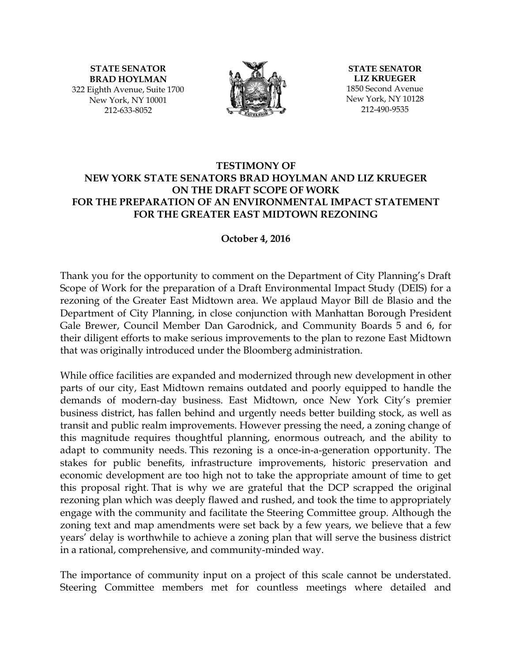**STATE SENATOR BRAD HOYLMAN** 322 Eighth Avenue, Suite 1700 New York, NY 10001 212-633-8052



**STATE SENATOR LIZ KRUEGER** 1850 Second Avenue New York, NY 10128 212-490-9535

### **TESTIMONY OF NEW YORK STATE SENATORS BRAD HOYLMAN AND LIZ KRUEGER ON THE DRAFT SCOPE OF WORK FOR THE PREPARATION OF AN ENVIRONMENTAL IMPACT STATEMENT FOR THE GREATER EAST MIDTOWN REZONING**

#### **October 4, 2016**

Thank you for the opportunity to comment on the Department of City Planning's Draft Scope of Work for the preparation of a Draft Environmental Impact Study (DEIS) for a rezoning of the Greater East Midtown area. We applaud Mayor Bill de Blasio and the Department of City Planning, in close conjunction with Manhattan Borough President Gale Brewer, Council Member Dan Garodnick, and Community Boards 5 and 6, for their diligent efforts to make serious improvements to the plan to rezone East Midtown that was originally introduced under the Bloomberg administration.

While office facilities are expanded and modernized through new development in other parts of our city, East Midtown remains outdated and poorly equipped to handle the demands of modern-day business. East Midtown, once New York City's premier business district, has fallen behind and urgently needs better building stock, as well as transit and public realm improvements. However pressing the need, a zoning change of this magnitude requires thoughtful planning, enormous outreach, and the ability to adapt to community needs. This rezoning is a once-in-a-generation opportunity. The stakes for public benefits, infrastructure improvements, historic preservation and economic development are too high not to take the appropriate amount of time to get this proposal right. That is why we are grateful that the DCP scrapped the original rezoning plan which was deeply flawed and rushed, and took the time to appropriately engage with the community and facilitate the Steering Committee group. Although the zoning text and map amendments were set back by a few years, we believe that a few years' delay is worthwhile to achieve a zoning plan that will serve the business district in a rational, comprehensive, and community-minded way.

The importance of community input on a project of this scale cannot be understated. Steering Committee members met for countless meetings where detailed and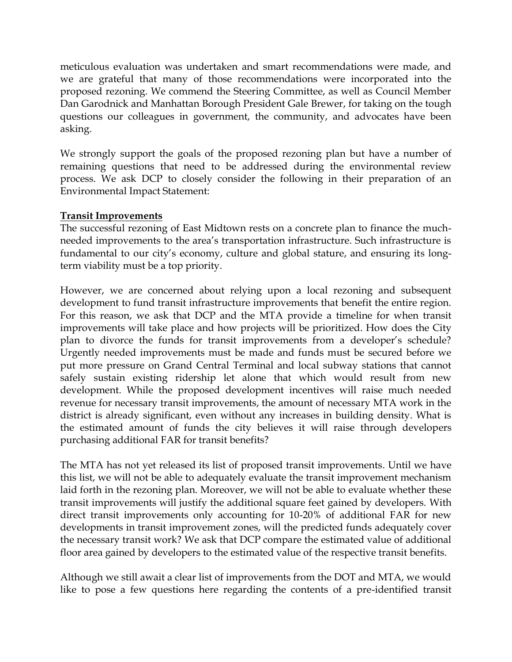meticulous evaluation was undertaken and smart recommendations were made, and we are grateful that many of those recommendations were incorporated into the proposed rezoning. We commend the Steering Committee, as well as Council Member Dan Garodnick and Manhattan Borough President Gale Brewer, for taking on the tough questions our colleagues in government, the community, and advocates have been asking.

We strongly support the goals of the proposed rezoning plan but have a number of remaining questions that need to be addressed during the environmental review process. We ask DCP to closely consider the following in their preparation of an Environmental Impact Statement:

# **Transit Improvements**

The successful rezoning of East Midtown rests on a concrete plan to finance the muchneeded improvements to the area's transportation infrastructure. Such infrastructure is fundamental to our city's economy, culture and global stature, and ensuring its longterm viability must be a top priority.

However, we are concerned about relying upon a local rezoning and subsequent development to fund transit infrastructure improvements that benefit the entire region. For this reason, we ask that DCP and the MTA provide a timeline for when transit improvements will take place and how projects will be prioritized. How does the City plan to divorce the funds for transit improvements from a developer's schedule? Urgently needed improvements must be made and funds must be secured before we put more pressure on Grand Central Terminal and local subway stations that cannot safely sustain existing ridership let alone that which would result from new development. While the proposed development incentives will raise much needed revenue for necessary transit improvements, the amount of necessary MTA work in the district is already significant, even without any increases in building density. What is the estimated amount of funds the city believes it will raise through developers purchasing additional FAR for transit benefits?

The MTA has not yet released its list of proposed transit improvements. Until we have this list, we will not be able to adequately evaluate the transit improvement mechanism laid forth in the rezoning plan. Moreover, we will not be able to evaluate whether these transit improvements will justify the additional square feet gained by developers. With direct transit improvements only accounting for 10-20% of additional FAR for new developments in transit improvement zones, will the predicted funds adequately cover the necessary transit work? We ask that DCP compare the estimated value of additional floor area gained by developers to the estimated value of the respective transit benefits.

Although we still await a clear list of improvements from the DOT and MTA, we would like to pose a few questions here regarding the contents of a pre-identified transit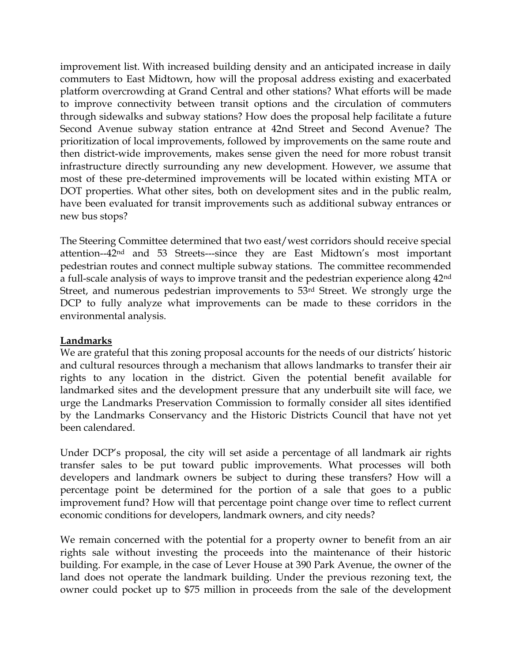improvement list. With increased building density and an anticipated increase in daily commuters to East Midtown, how will the proposal address existing and exacerbated platform overcrowding at Grand Central and other stations? What efforts will be made to improve connectivity between transit options and the circulation of commuters through sidewalks and subway stations? How does the proposal help facilitate a future Second Avenue subway station entrance at 42nd Street and Second Avenue? The prioritization of local improvements, followed by improvements on the same route and then district-wide improvements, makes sense given the need for more robust transit infrastructure directly surrounding any new development. However, we assume that most of these pre-determined improvements will be located within existing MTA or DOT properties. What other sites, both on development sites and in the public realm, have been evaluated for transit improvements such as additional subway entrances or new bus stops?

The Steering Committee determined that two east/west corridors should receive special attention--42nd and 53 Streets---since they are East Midtown's most important pedestrian routes and connect multiple subway stations. The committee recommended a full-scale analysis of ways to improve transit and the pedestrian experience along 42nd Street, and numerous pedestrian improvements to 53rd Street. We strongly urge the DCP to fully analyze what improvements can be made to these corridors in the environmental analysis.

#### **Landmarks**

We are grateful that this zoning proposal accounts for the needs of our districts' historic and cultural resources through a mechanism that allows landmarks to transfer their air rights to any location in the district. Given the potential benefit available for landmarked sites and the development pressure that any underbuilt site will face, we urge the Landmarks Preservation Commission to formally consider all sites identified by the Landmarks Conservancy and the Historic Districts Council that have not yet been calendared.

Under DCP's proposal, the city will set aside a percentage of all landmark air rights transfer sales to be put toward public improvements. What processes will both developers and landmark owners be subject to during these transfers? How will a percentage point be determined for the portion of a sale that goes to a public improvement fund? How will that percentage point change over time to reflect current economic conditions for developers, landmark owners, and city needs?

We remain concerned with the potential for a property owner to benefit from an air rights sale without investing the proceeds into the maintenance of their historic building. For example, in the case of Lever House at 390 Park Avenue, the owner of the land does not operate the landmark building. Under the previous rezoning text, the owner could pocket up to \$75 million in proceeds from the sale of the development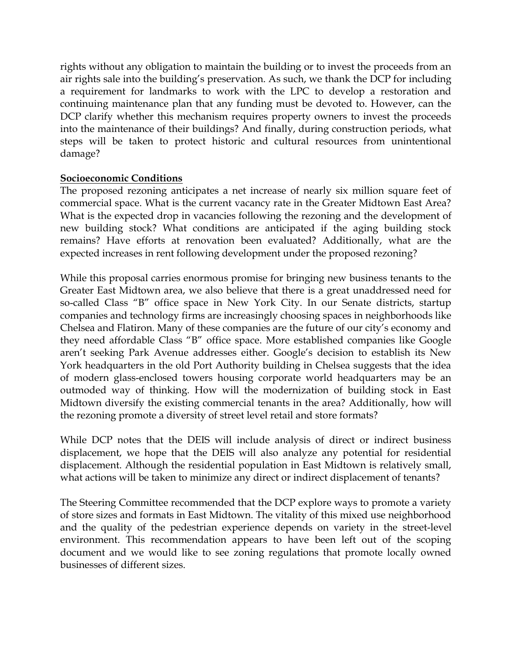rights without any obligation to maintain the building or to invest the proceeds from an air rights sale into the building's preservation. As such, we thank the DCP for including a requirement for landmarks to work with the LPC to develop a restoration and continuing maintenance plan that any funding must be devoted to. However, can the DCP clarify whether this mechanism requires property owners to invest the proceeds into the maintenance of their buildings? And finally, during construction periods, what steps will be taken to protect historic and cultural resources from unintentional damage?

### **Socioeconomic Conditions**

The proposed rezoning anticipates a net increase of nearly six million square feet of commercial space. What is the current vacancy rate in the Greater Midtown East Area? What is the expected drop in vacancies following the rezoning and the development of new building stock? What conditions are anticipated if the aging building stock remains? Have efforts at renovation been evaluated? Additionally, what are the expected increases in rent following development under the proposed rezoning?

While this proposal carries enormous promise for bringing new business tenants to the Greater East Midtown area, we also believe that there is a great unaddressed need for so-called Class "B" office space in New York City. In our Senate districts, startup companies and technology firms are increasingly choosing spaces in neighborhoods like Chelsea and Flatiron. Many of these companies are the future of our city's economy and they need affordable Class "B" office space. More established companies like Google aren't seeking Park Avenue addresses either. Google's decision to establish its New York headquarters in the old Port Authority building in Chelsea suggests that the idea of modern glass-enclosed towers housing corporate world headquarters may be an outmoded way of thinking. How will the modernization of building stock in East Midtown diversify the existing commercial tenants in the area? Additionally, how will the rezoning promote a diversity of street level retail and store formats?

While DCP notes that the DEIS will include analysis of direct or indirect business displacement, we hope that the DEIS will also analyze any potential for residential displacement. Although the residential population in East Midtown is relatively small, what actions will be taken to minimize any direct or indirect displacement of tenants?

The Steering Committee recommended that the DCP explore ways to promote a variety of store sizes and formats in East Midtown. The vitality of this mixed use neighborhood and the quality of the pedestrian experience depends on variety in the street-level environment. This recommendation appears to have been left out of the scoping document and we would like to see zoning regulations that promote locally owned businesses of different sizes.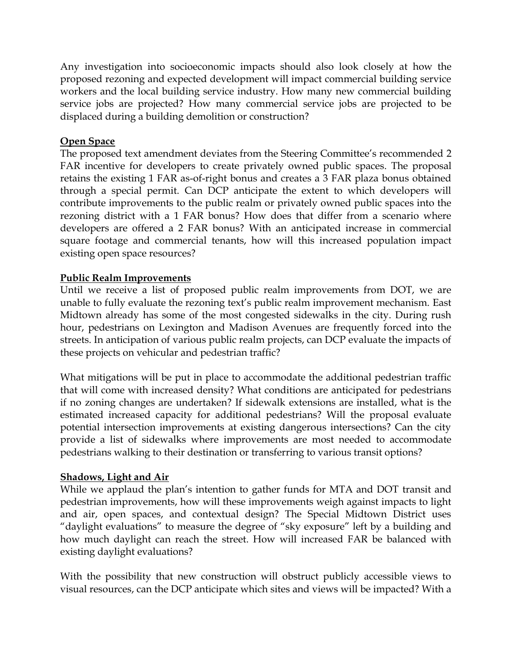Any investigation into socioeconomic impacts should also look closely at how the proposed rezoning and expected development will impact commercial building service workers and the local building service industry. How many new commercial building service jobs are projected? How many commercial service jobs are projected to be displaced during a building demolition or construction?

# **Open Space**

The proposed text amendment deviates from the Steering Committee's recommended 2 FAR incentive for developers to create privately owned public spaces. The proposal retains the existing 1 FAR as-of-right bonus and creates a 3 FAR plaza bonus obtained through a special permit. Can DCP anticipate the extent to which developers will contribute improvements to the public realm or privately owned public spaces into the rezoning district with a 1 FAR bonus? How does that differ from a scenario where developers are offered a 2 FAR bonus? With an anticipated increase in commercial square footage and commercial tenants, how will this increased population impact existing open space resources?

### **Public Realm Improvements**

Until we receive a list of proposed public realm improvements from DOT, we are unable to fully evaluate the rezoning text's public realm improvement mechanism. East Midtown already has some of the most congested sidewalks in the city. During rush hour, pedestrians on Lexington and Madison Avenues are frequently forced into the streets. In anticipation of various public realm projects, can DCP evaluate the impacts of these projects on vehicular and pedestrian traffic?

What mitigations will be put in place to accommodate the additional pedestrian traffic that will come with increased density? What conditions are anticipated for pedestrians if no zoning changes are undertaken? If sidewalk extensions are installed, what is the estimated increased capacity for additional pedestrians? Will the proposal evaluate potential intersection improvements at existing dangerous intersections? Can the city provide a list of sidewalks where improvements are most needed to accommodate pedestrians walking to their destination or transferring to various transit options?

#### **Shadows, Light and Air**

While we applaud the plan's intention to gather funds for MTA and DOT transit and pedestrian improvements, how will these improvements weigh against impacts to light and air, open spaces, and contextual design? The Special Midtown District uses "daylight evaluations" to measure the degree of "sky exposure" left by a building and how much daylight can reach the street. How will increased FAR be balanced with existing daylight evaluations?

With the possibility that new construction will obstruct publicly accessible views to visual resources, can the DCP anticipate which sites and views will be impacted? With a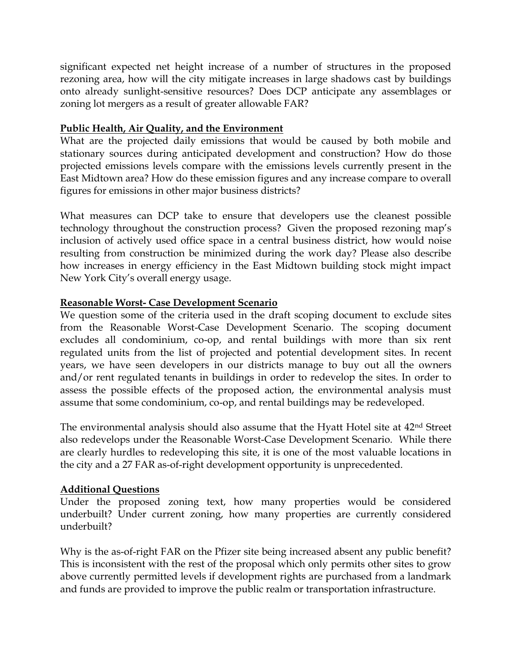significant expected net height increase of a number of structures in the proposed rezoning area, how will the city mitigate increases in large shadows cast by buildings onto already sunlight-sensitive resources? Does DCP anticipate any assemblages or zoning lot mergers as a result of greater allowable FAR?

# **Public Health, Air Quality, and the Environment**

What are the projected daily emissions that would be caused by both mobile and stationary sources during anticipated development and construction? How do those projected emissions levels compare with the emissions levels currently present in the East Midtown area? How do these emission figures and any increase compare to overall figures for emissions in other major business districts?

What measures can DCP take to ensure that developers use the cleanest possible technology throughout the construction process? Given the proposed rezoning map's inclusion of actively used office space in a central business district, how would noise resulting from construction be minimized during the work day? Please also describe how increases in energy efficiency in the East Midtown building stock might impact New York City's overall energy usage.

### **Reasonable Worst- Case Development Scenario**

We question some of the criteria used in the draft scoping document to exclude sites from the Reasonable Worst-Case Development Scenario. The scoping document excludes all condominium, co-op, and rental buildings with more than six rent regulated units from the list of projected and potential development sites. In recent years, we have seen developers in our districts manage to buy out all the owners and/or rent regulated tenants in buildings in order to redevelop the sites. In order to assess the possible effects of the proposed action, the environmental analysis must assume that some condominium, co-op, and rental buildings may be redeveloped.

The environmental analysis should also assume that the Hyatt Hotel site at 42nd Street also redevelops under the Reasonable Worst-Case Development Scenario. While there are clearly hurdles to redeveloping this site, it is one of the most valuable locations in the city and a 27 FAR as-of-right development opportunity is unprecedented.

#### **Additional Questions**

Under the proposed zoning text, how many properties would be considered underbuilt? Under current zoning, how many properties are currently considered underbuilt?

Why is the as-of-right FAR on the Pfizer site being increased absent any public benefit? This is inconsistent with the rest of the proposal which only permits other sites to grow above currently permitted levels if development rights are purchased from a landmark and funds are provided to improve the public realm or transportation infrastructure.